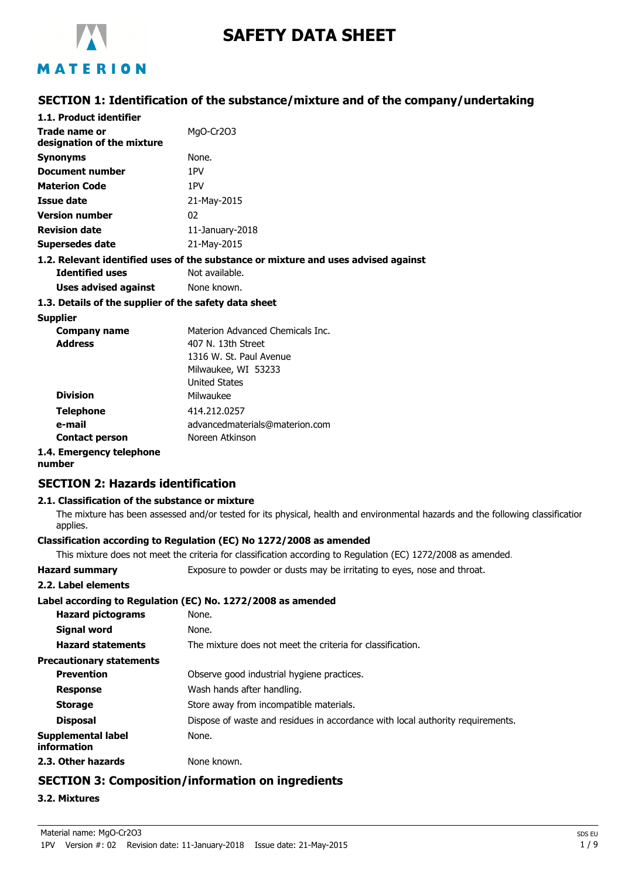

# **SAFETY DATA SHEET**

# MATERION

### **SECTION 1: Identification of the substance/mixture and of the company/undertaking**

| 1.1. Product identifier                     |                                                                                    |
|---------------------------------------------|------------------------------------------------------------------------------------|
| Trade name or<br>designation of the mixture | MgO-Cr2O3                                                                          |
| <b>Synonyms</b>                             | None.                                                                              |
| Document number                             | 1PV                                                                                |
| <b>Materion Code</b>                        | 1PV                                                                                |
| Issue date                                  | 21-May-2015                                                                        |
| <b>Version number</b>                       | 02                                                                                 |
| <b>Revision date</b>                        | $11$ -January-2018                                                                 |
| Supersedes date                             | 21-May-2015                                                                        |
|                                             | 1.2. Relevant identified uses of the substance or mixture and uses advised against |
| <b>Identified uses</b>                      | Not available.                                                                     |
| Uses advised against                        | None known.                                                                        |
|                                             |                                                                                    |

#### **1.3. Details of the supplier of the safety data sheet**

#### **Supplier**

| <b>Company name</b>   | Materion Advanced Chemicals Inc. |
|-----------------------|----------------------------------|
| <b>Address</b>        | 407 N. 13th Street               |
|                       | 1316 W. St. Paul Avenue          |
|                       | Milwaukee, WI 53233              |
|                       | <b>United States</b>             |
| <b>Division</b>       | Milwaukee                        |
| <b>Telephone</b>      | 414.212.0257                     |
| e-mail                | advancedmaterials@materion.com   |
| <b>Contact person</b> | Noreen Atkinson                  |
|                       |                                  |

### **1.4. Emergency telephone**

**number**

### **SECTION 2: Hazards identification**

### **2.1. Classification of the substance or mixture**

The mixture has been assessed and/or tested for its physical, health and environmental hazards and the following classification applies.

### **Classification according to Regulation (EC) No 1272/2008 as amended**

This mixture does not meet the criteria for classification according to Regulation (EC) 1272/2008 as amended.

**Hazard summary** Exposure to powder or dusts may be irritating to eyes, nose and throat.

#### **2.2. Label elements**

### **Label according to Regulation (EC) No. 1272/2008 as amended**

|                                          | Label according to Regulation (EC) No. 1272/2008 as amended                    |
|------------------------------------------|--------------------------------------------------------------------------------|
| <b>Hazard pictograms</b>                 | None.                                                                          |
| Signal word                              | None.                                                                          |
| <b>Hazard statements</b>                 | The mixture does not meet the criteria for classification.                     |
| <b>Precautionary statements</b>          |                                                                                |
| <b>Prevention</b>                        | Observe good industrial hygiene practices.                                     |
| <b>Response</b>                          | Wash hands after handling.                                                     |
| <b>Storage</b>                           | Store away from incompatible materials.                                        |
| <b>Disposal</b>                          | Dispose of waste and residues in accordance with local authority requirements. |
| <b>Supplemental label</b><br>information | None.                                                                          |
| 2.3. Other hazards                       | None known.                                                                    |

# **SECTION 3: Composition/information on ingredients**

**3.2. Mixtures**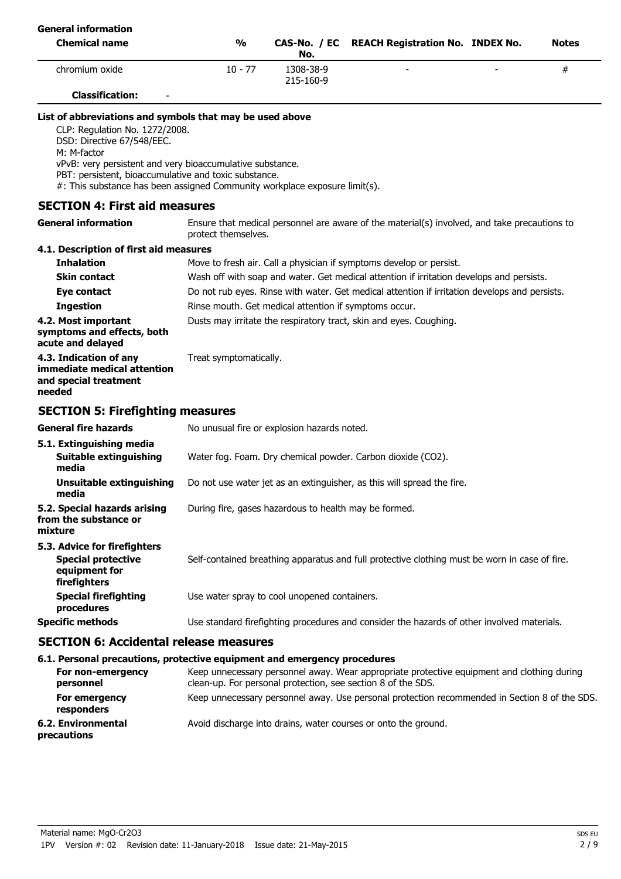| <b>General information</b>                                                                                                                                                                                                                                                                                                                  |                                                       |                        |                                                                                                                                                            |              |
|---------------------------------------------------------------------------------------------------------------------------------------------------------------------------------------------------------------------------------------------------------------------------------------------------------------------------------------------|-------------------------------------------------------|------------------------|------------------------------------------------------------------------------------------------------------------------------------------------------------|--------------|
| <b>Chemical name</b>                                                                                                                                                                                                                                                                                                                        | $\frac{1}{2}$                                         | CAS-No. / EC<br>No.    | <b>REACH Registration No. INDEX No.</b>                                                                                                                    | <b>Notes</b> |
| chromium oxide                                                                                                                                                                                                                                                                                                                              | $10 - 77$                                             | 1308-38-9<br>215-160-9 |                                                                                                                                                            | #            |
| <b>Classification:</b>                                                                                                                                                                                                                                                                                                                      |                                                       |                        |                                                                                                                                                            |              |
| List of abbreviations and symbols that may be used above<br>CLP: Regulation No. 1272/2008.<br>DSD: Directive 67/548/EEC.<br>M: M-factor<br>vPvB: very persistent and very bioaccumulative substance.<br>PBT: persistent, bioaccumulative and toxic substance.<br>#: This substance has been assigned Community workplace exposure limit(s). |                                                       |                        |                                                                                                                                                            |              |
| <b>SECTION 4: First aid measures</b>                                                                                                                                                                                                                                                                                                        |                                                       |                        |                                                                                                                                                            |              |
| <b>General information</b>                                                                                                                                                                                                                                                                                                                  | protect themselves.                                   |                        | Ensure that medical personnel are aware of the material(s) involved, and take precautions to                                                               |              |
| 4.1. Description of first aid measures                                                                                                                                                                                                                                                                                                      |                                                       |                        |                                                                                                                                                            |              |
| <b>Inhalation</b>                                                                                                                                                                                                                                                                                                                           |                                                       |                        | Move to fresh air. Call a physician if symptoms develop or persist.                                                                                        |              |
| Skin contact                                                                                                                                                                                                                                                                                                                                |                                                       |                        | Wash off with soap and water. Get medical attention if irritation develops and persists.                                                                   |              |
| Eye contact                                                                                                                                                                                                                                                                                                                                 |                                                       |                        | Do not rub eyes. Rinse with water. Get medical attention if irritation develops and persists.                                                              |              |
| <b>Ingestion</b>                                                                                                                                                                                                                                                                                                                            | Rinse mouth. Get medical attention if symptoms occur. |                        |                                                                                                                                                            |              |
| 4.2. Most important<br>symptoms and effects, both<br>acute and delayed                                                                                                                                                                                                                                                                      |                                                       |                        | Dusts may irritate the respiratory tract, skin and eyes. Coughing.                                                                                         |              |
| 4.3. Indication of any<br>immediate medical attention<br>and special treatment<br>needed                                                                                                                                                                                                                                                    | Treat symptomatically.                                |                        |                                                                                                                                                            |              |
| <b>SECTION 5: Firefighting measures</b>                                                                                                                                                                                                                                                                                                     |                                                       |                        |                                                                                                                                                            |              |
| <b>General fire hazards</b>                                                                                                                                                                                                                                                                                                                 | No unusual fire or explosion hazards noted.           |                        |                                                                                                                                                            |              |
| 5.1. Extinguishing media<br>Suitable extinguishing<br>media                                                                                                                                                                                                                                                                                 |                                                       |                        | Water fog. Foam. Dry chemical powder. Carbon dioxide (CO2).                                                                                                |              |
| Unsuitable extinguishing<br>media                                                                                                                                                                                                                                                                                                           |                                                       |                        | Do not use water jet as an extinguisher, as this will spread the fire.                                                                                     |              |
| 5.2. Special hazards arising<br>from the substance or<br>mixture                                                                                                                                                                                                                                                                            | During fire, gases hazardous to health may be formed. |                        |                                                                                                                                                            |              |
| 5.3. Advice for firefighters<br><b>Special protective</b><br>equipment for<br>firefighters                                                                                                                                                                                                                                                  |                                                       |                        | Self-contained breathing apparatus and full protective clothing must be worn in case of fire.                                                              |              |
| <b>Special firefighting</b><br>procedures                                                                                                                                                                                                                                                                                                   | Use water spray to cool unopened containers.          |                        |                                                                                                                                                            |              |
| <b>Specific methods</b>                                                                                                                                                                                                                                                                                                                     |                                                       |                        | Use standard firefighting procedures and consider the hazards of other involved materials.                                                                 |              |
| <b>SECTION 6: Accidental release measures</b>                                                                                                                                                                                                                                                                                               |                                                       |                        |                                                                                                                                                            |              |
| 6.1. Personal precautions, protective equipment and emergency procedures                                                                                                                                                                                                                                                                    |                                                       |                        |                                                                                                                                                            |              |
| For non-emergency<br>personnel                                                                                                                                                                                                                                                                                                              |                                                       |                        | Keep unnecessary personnel away. Wear appropriate protective equipment and clothing during<br>clean-up. For personal protection, see section 8 of the SDS. |              |

| For emergency | Keep unnecessary personnel away. Use personal protection recommended in Section 8 of the SDS. |
|---------------|-----------------------------------------------------------------------------------------------|
| responders    |                                                                                               |

**6.2. Environmental** Avoid discharge into drains, water courses or onto the ground. **precautions**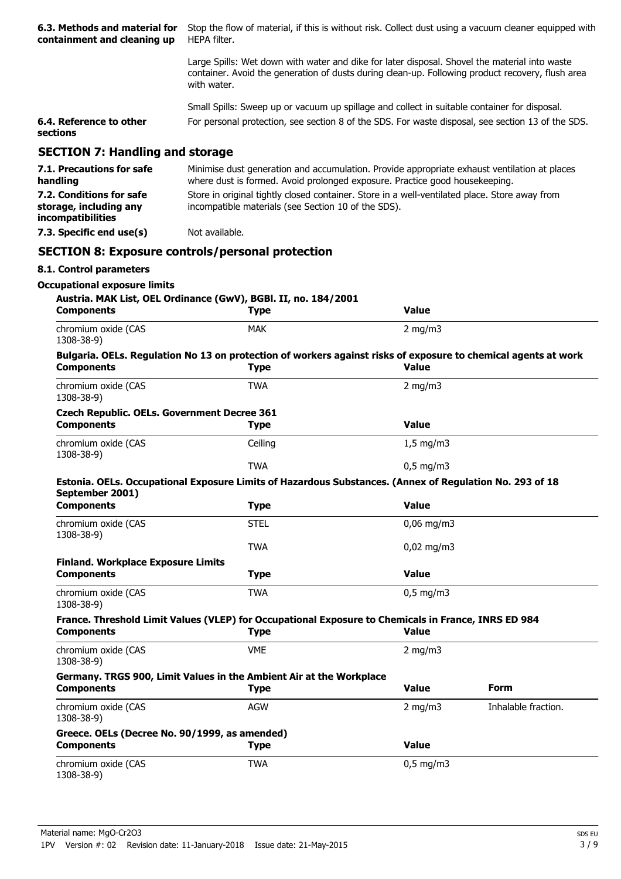| 6.3. Methods and material for<br>containment and cleaning up            | Stop the flow of material, if this is without risk. Collect dust using a vacuum cleaner equipped with<br>HEPA filter.                                                                                            |                |                     |  |
|-------------------------------------------------------------------------|------------------------------------------------------------------------------------------------------------------------------------------------------------------------------------------------------------------|----------------|---------------------|--|
|                                                                         | Large Spills: Wet down with water and dike for later disposal. Shovel the material into waste<br>container. Avoid the generation of dusts during clean-up. Following product recovery, flush area<br>with water. |                |                     |  |
|                                                                         | Small Spills: Sweep up or vacuum up spillage and collect in suitable container for disposal.                                                                                                                     |                |                     |  |
| 6.4. Reference to other<br>sections                                     | For personal protection, see section 8 of the SDS. For waste disposal, see section 13 of the SDS.                                                                                                                |                |                     |  |
| <b>SECTION 7: Handling and storage</b>                                  |                                                                                                                                                                                                                  |                |                     |  |
| 7.1. Precautions for safe<br>handling                                   | Minimise dust generation and accumulation. Provide appropriate exhaust ventilation at places<br>where dust is formed. Avoid prolonged exposure. Practice good housekeeping.                                      |                |                     |  |
| 7.2. Conditions for safe<br>storage, including any<br>incompatibilities | Store in original tightly closed container. Store in a well-ventilated place. Store away from<br>incompatible materials (see Section 10 of the SDS).                                                             |                |                     |  |
| 7.3. Specific end use(s)                                                | Not available.                                                                                                                                                                                                   |                |                     |  |
|                                                                         | <b>SECTION 8: Exposure controls/personal protection</b>                                                                                                                                                          |                |                     |  |
| 8.1. Control parameters                                                 |                                                                                                                                                                                                                  |                |                     |  |
| <b>Occupational exposure limits</b><br><b>Components</b>                | Austria. MAK List, OEL Ordinance (GwV), BGBI. II, no. 184/2001<br><b>Type</b>                                                                                                                                    | <b>Value</b>   |                     |  |
| chromium oxide (CAS<br>1308-38-9)                                       | <b>MAK</b>                                                                                                                                                                                                       | $2$ mg/m $3$   |                     |  |
| <b>Components</b>                                                       | Bulgaria. OELs. Regulation No 13 on protection of workers against risks of exposure to chemical agents at work<br><b>Type</b>                                                                                    | <b>Value</b>   |                     |  |
| chromium oxide (CAS<br>1308-38-9)                                       | <b>TWA</b>                                                                                                                                                                                                       | 2 mg/m $3$     |                     |  |
| <b>Czech Republic. OELs. Government Decree 361</b><br><b>Components</b> | <b>Type</b>                                                                                                                                                                                                      | <b>Value</b>   |                     |  |
| chromium oxide (CAS<br>1308-38-9)                                       | Ceiling                                                                                                                                                                                                          | $1,5$ mg/m $3$ |                     |  |
|                                                                         | <b>TWA</b>                                                                                                                                                                                                       | $0,5$ mg/m3    |                     |  |
| September 2001)                                                         | Estonia. OELs. Occupational Exposure Limits of Hazardous Substances. (Annex of Regulation No. 293 of 18                                                                                                          |                |                     |  |
| <b>Components</b>                                                       | <b>Type</b>                                                                                                                                                                                                      | <b>Value</b>   |                     |  |
| chromium oxide (CAS<br>1308-38-9)                                       | <b>STEL</b>                                                                                                                                                                                                      | $0,06$ mg/m3   |                     |  |
|                                                                         | <b>TWA</b>                                                                                                                                                                                                       | $0,02$ mg/m3   |                     |  |
| <b>Finland. Workplace Exposure Limits</b><br><b>Components</b>          | <b>Type</b>                                                                                                                                                                                                      | <b>Value</b>   |                     |  |
| chromium oxide (CAS<br>1308-38-9)                                       | <b>TWA</b>                                                                                                                                                                                                       | $0,5$ mg/m3    |                     |  |
| <b>Components</b>                                                       | France. Threshold Limit Values (VLEP) for Occupational Exposure to Chemicals in France, INRS ED 984<br><b>Type</b>                                                                                               | <b>Value</b>   |                     |  |
| chromium oxide (CAS<br>1308-38-9)                                       | <b>VME</b>                                                                                                                                                                                                       | $2$ mg/m $3$   |                     |  |
| <b>Components</b>                                                       | Germany. TRGS 900, Limit Values in the Ambient Air at the Workplace<br><b>Type</b>                                                                                                                               | <b>Value</b>   | <b>Form</b>         |  |
| chromium oxide (CAS<br>1308-38-9)                                       | <b>AGW</b>                                                                                                                                                                                                       | 2 mg/m $3$     | Inhalable fraction. |  |
| Greece. OELs (Decree No. 90/1999, as amended)<br><b>Components</b>      | <b>Type</b>                                                                                                                                                                                                      | <b>Value</b>   |                     |  |
| chromium oxide (CAS<br>1308-38-9)                                       | <b>TWA</b>                                                                                                                                                                                                       | $0,5$ mg/m3    |                     |  |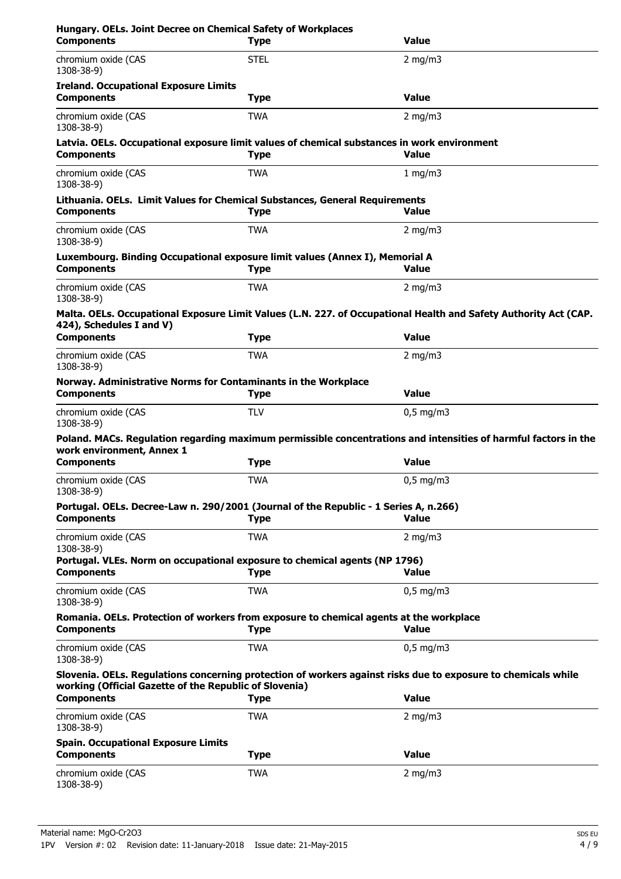| Hungary. OELs. Joint Decree on Chemical Safety of Workplaces<br><b>Components</b>                           | <b>Type</b> | Value                                                                                                            |
|-------------------------------------------------------------------------------------------------------------|-------------|------------------------------------------------------------------------------------------------------------------|
| chromium oxide (CAS<br>1308-38-9)                                                                           | <b>STEL</b> | $2$ mg/m $3$                                                                                                     |
| <b>Ireland. Occupational Exposure Limits</b><br><b>Components</b>                                           | <b>Type</b> | <b>Value</b>                                                                                                     |
| chromium oxide (CAS<br>1308-38-9)                                                                           | <b>TWA</b>  | $2$ mg/m $3$                                                                                                     |
| Latvia. OELs. Occupational exposure limit values of chemical substances in work environment                 |             |                                                                                                                  |
| <b>Components</b>                                                                                           | <b>Type</b> | <b>Value</b>                                                                                                     |
| chromium oxide (CAS<br>1308-38-9)                                                                           | <b>TWA</b>  | 1 mg/m $3$                                                                                                       |
| Lithuania. OELs. Limit Values for Chemical Substances, General Requirements<br><b>Components</b>            | <b>Type</b> | Value                                                                                                            |
| chromium oxide (CAS<br>1308-38-9)                                                                           | TWA         | 2 mg/m $3$                                                                                                       |
| Luxembourg. Binding Occupational exposure limit values (Annex I), Memorial A                                |             |                                                                                                                  |
| <b>Components</b>                                                                                           | <b>Type</b> | <b>Value</b>                                                                                                     |
| chromium oxide (CAS<br>1308-38-9)                                                                           | <b>TWA</b>  | $2 \text{ mg/m}$                                                                                                 |
| 424), Schedules I and V)                                                                                    |             | Malta. OELs. Occupational Exposure Limit Values (L.N. 227. of Occupational Health and Safety Authority Act (CAP. |
| <b>Components</b>                                                                                           | <b>Type</b> | <b>Value</b>                                                                                                     |
| chromium oxide (CAS<br>1308-38-9)                                                                           | <b>TWA</b>  | $2$ mg/m $3$                                                                                                     |
| Norway. Administrative Norms for Contaminants in the Workplace<br><b>Components</b>                         | <b>Type</b> | Value                                                                                                            |
| chromium oxide (CAS<br>1308-38-9)                                                                           | <b>TLV</b>  | $0,5$ mg/m3                                                                                                      |
|                                                                                                             |             | Poland. MACs. Regulation regarding maximum permissible concentrations and intensities of harmful factors in the  |
| work environment, Annex 1<br><b>Components</b>                                                              | <b>Type</b> | <b>Value</b>                                                                                                     |
| chromium oxide (CAS<br>1308-38-9)                                                                           | <b>TWA</b>  | $0,5$ mg/m3                                                                                                      |
| Portugal. OELs. Decree-Law n. 290/2001 (Journal of the Republic - 1 Series A, n.266)<br><b>Components</b>   | <b>Type</b> | <b>Value</b>                                                                                                     |
| chromium oxide (CAS                                                                                         | <b>TWA</b>  | 2 mg/m $3$                                                                                                       |
| 1308-38-9)                                                                                                  |             |                                                                                                                  |
| Portugal. VLEs. Norm on occupational exposure to chemical agents (NP 1796)<br><b>Components</b>             | <b>Type</b> | Value                                                                                                            |
| chromium oxide (CAS<br>1308-38-9)                                                                           | <b>TWA</b>  | $0,5$ mg/m3                                                                                                      |
| Romania. OELs. Protection of workers from exposure to chemical agents at the workplace<br><b>Components</b> | <b>Type</b> | Value                                                                                                            |
| chromium oxide (CAS<br>1308-38-9)                                                                           | <b>TWA</b>  | $0,5 \text{ mg/m}$                                                                                               |
| working (Official Gazette of the Republic of Slovenia)                                                      |             | Slovenia. OELs. Regulations concerning protection of workers against risks due to exposure to chemicals while    |
| <b>Components</b>                                                                                           | <b>Type</b> | <b>Value</b>                                                                                                     |
| chromium oxide (CAS<br>1308-38-9)                                                                           | <b>TWA</b>  | 2 mg/m $3$                                                                                                       |
| <b>Spain. Occupational Exposure Limits</b><br><b>Components</b>                                             | <b>Type</b> | <b>Value</b>                                                                                                     |
| chromium oxide (CAS<br>1308-38-9)                                                                           | <b>TWA</b>  | $2$ mg/m $3$                                                                                                     |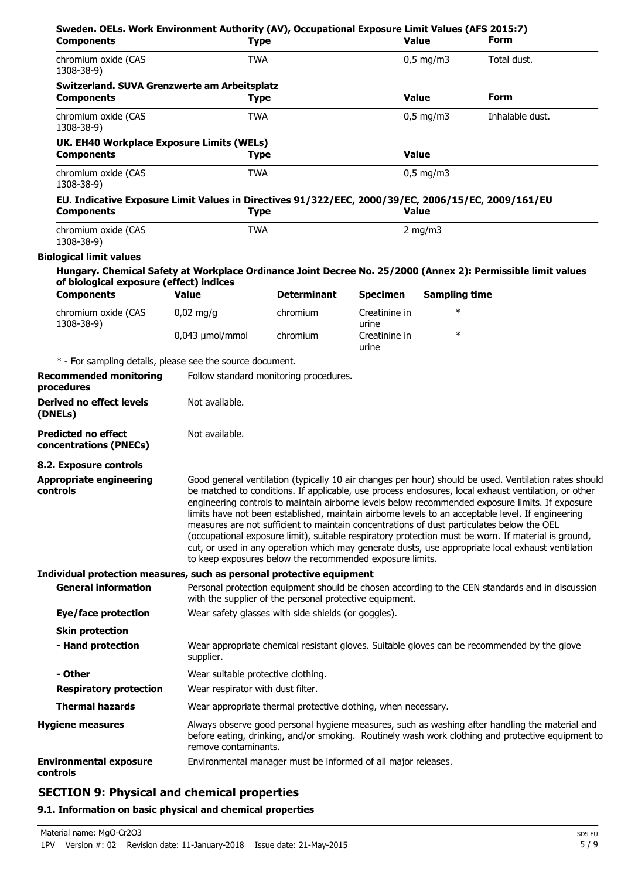| Sweden. OELs. Work Environment Authority (AV), Occupational Exposure Limit Values (AFS 2015:7)<br><b>Components</b>     | <b>Type</b>                                                             |                                                               |                        | <b>Value</b>         | Form                                                                                                                                                                                                                                                                                                                                                                                                                                                                                                                                                                                                                                                                                                                           |
|-------------------------------------------------------------------------------------------------------------------------|-------------------------------------------------------------------------|---------------------------------------------------------------|------------------------|----------------------|--------------------------------------------------------------------------------------------------------------------------------------------------------------------------------------------------------------------------------------------------------------------------------------------------------------------------------------------------------------------------------------------------------------------------------------------------------------------------------------------------------------------------------------------------------------------------------------------------------------------------------------------------------------------------------------------------------------------------------|
| chromium oxide (CAS<br>1308-38-9)                                                                                       | <b>TWA</b>                                                              |                                                               |                        | $0,5$ mg/m3          | Total dust.                                                                                                                                                                                                                                                                                                                                                                                                                                                                                                                                                                                                                                                                                                                    |
| Switzerland. SUVA Grenzwerte am Arbeitsplatz<br><b>Components</b>                                                       | <b>Type</b>                                                             |                                                               |                        | <b>Value</b>         | <b>Form</b>                                                                                                                                                                                                                                                                                                                                                                                                                                                                                                                                                                                                                                                                                                                    |
| chromium oxide (CAS<br>1308-38-9)                                                                                       | <b>TWA</b>                                                              |                                                               |                        | $0.5$ mg/m3          | Inhalable dust.                                                                                                                                                                                                                                                                                                                                                                                                                                                                                                                                                                                                                                                                                                                |
| UK. EH40 Workplace Exposure Limits (WELs)                                                                               |                                                                         |                                                               |                        | <b>Value</b>         |                                                                                                                                                                                                                                                                                                                                                                                                                                                                                                                                                                                                                                                                                                                                |
| <b>Components</b><br>chromium oxide (CAS<br>1308-38-9)                                                                  | <b>Type</b><br><b>TWA</b>                                               |                                                               |                        | $0,5$ mg/m3          |                                                                                                                                                                                                                                                                                                                                                                                                                                                                                                                                                                                                                                                                                                                                |
| EU. Indicative Exposure Limit Values in Directives 91/322/EEC, 2000/39/EC, 2006/15/EC, 2009/161/EU<br><b>Components</b> | <b>Type</b>                                                             |                                                               |                        | <b>Value</b>         |                                                                                                                                                                                                                                                                                                                                                                                                                                                                                                                                                                                                                                                                                                                                |
| chromium oxide (CAS<br>1308-38-9)                                                                                       | <b>TWA</b>                                                              |                                                               |                        | 2 mg/m $3$           |                                                                                                                                                                                                                                                                                                                                                                                                                                                                                                                                                                                                                                                                                                                                |
| <b>Biological limit values</b>                                                                                          |                                                                         |                                                               |                        |                      |                                                                                                                                                                                                                                                                                                                                                                                                                                                                                                                                                                                                                                                                                                                                |
| of biological exposure (effect) indices                                                                                 |                                                                         |                                                               |                        |                      | Hungary. Chemical Safety at Workplace Ordinance Joint Decree No. 25/2000 (Annex 2): Permissible limit values                                                                                                                                                                                                                                                                                                                                                                                                                                                                                                                                                                                                                   |
| <b>Components</b>                                                                                                       | <b>Value</b>                                                            | <b>Determinant</b>                                            | <b>Specimen</b>        | <b>Sampling time</b> |                                                                                                                                                                                                                                                                                                                                                                                                                                                                                                                                                                                                                                                                                                                                |
| chromium oxide (CAS<br>1308-38-9)                                                                                       | $0,02$ mg/g                                                             | chromium                                                      | Creatinine in<br>urine | $\ast$               |                                                                                                                                                                                                                                                                                                                                                                                                                                                                                                                                                                                                                                                                                                                                |
|                                                                                                                         | $0.043$ µmol/mmol                                                       | chromium                                                      | Creatinine in<br>urine | $\ast$               |                                                                                                                                                                                                                                                                                                                                                                                                                                                                                                                                                                                                                                                                                                                                |
| * - For sampling details, please see the source document.                                                               |                                                                         |                                                               |                        |                      |                                                                                                                                                                                                                                                                                                                                                                                                                                                                                                                                                                                                                                                                                                                                |
| <b>Recommended monitoring</b><br>procedures                                                                             |                                                                         | Follow standard monitoring procedures.                        |                        |                      |                                                                                                                                                                                                                                                                                                                                                                                                                                                                                                                                                                                                                                                                                                                                |
| Derived no effect levels<br>(DNELs)                                                                                     | Not available.                                                          |                                                               |                        |                      |                                                                                                                                                                                                                                                                                                                                                                                                                                                                                                                                                                                                                                                                                                                                |
| <b>Predicted no effect</b><br>concentrations (PNECs)                                                                    | Not available.                                                          |                                                               |                        |                      |                                                                                                                                                                                                                                                                                                                                                                                                                                                                                                                                                                                                                                                                                                                                |
| 8.2. Exposure controls                                                                                                  |                                                                         |                                                               |                        |                      |                                                                                                                                                                                                                                                                                                                                                                                                                                                                                                                                                                                                                                                                                                                                |
| <b>Appropriate engineering</b><br>controls                                                                              |                                                                         | to keep exposures below the recommended exposure limits.      |                        |                      | Good general ventilation (typically 10 air changes per hour) should be used. Ventilation rates should<br>be matched to conditions. If applicable, use process enclosures, local exhaust ventilation, or other<br>engineering controls to maintain airborne levels below recommended exposure limits. If exposure<br>limits have not been established, maintain airborne levels to an acceptable level. If engineering<br>measures are not sufficient to maintain concentrations of dust particulates below the OEL<br>(occupational exposure limit), suitable respiratory protection must be worn. If material is ground,<br>cut, or used in any operation which may generate dusts, use appropriate local exhaust ventilation |
| Individual protection measures, such as personal protective equipment                                                   |                                                                         |                                                               |                        |                      |                                                                                                                                                                                                                                                                                                                                                                                                                                                                                                                                                                                                                                                                                                                                |
| <b>General information</b>                                                                                              |                                                                         | with the supplier of the personal protective equipment.       |                        |                      | Personal protection equipment should be chosen according to the CEN standards and in discussion                                                                                                                                                                                                                                                                                                                                                                                                                                                                                                                                                                                                                                |
| <b>Eye/face protection</b>                                                                                              |                                                                         | Wear safety glasses with side shields (or goggles).           |                        |                      |                                                                                                                                                                                                                                                                                                                                                                                                                                                                                                                                                                                                                                                                                                                                |
| <b>Skin protection</b><br>- Hand protection                                                                             |                                                                         |                                                               |                        |                      | Wear appropriate chemical resistant gloves. Suitable gloves can be recommended by the glove                                                                                                                                                                                                                                                                                                                                                                                                                                                                                                                                                                                                                                    |
| - Other                                                                                                                 | supplier.                                                               |                                                               |                        |                      |                                                                                                                                                                                                                                                                                                                                                                                                                                                                                                                                                                                                                                                                                                                                |
| <b>Respiratory protection</b>                                                                                           | Wear suitable protective clothing.<br>Wear respirator with dust filter. |                                                               |                        |                      |                                                                                                                                                                                                                                                                                                                                                                                                                                                                                                                                                                                                                                                                                                                                |
| <b>Thermal hazards</b>                                                                                                  |                                                                         | Wear appropriate thermal protective clothing, when necessary. |                        |                      |                                                                                                                                                                                                                                                                                                                                                                                                                                                                                                                                                                                                                                                                                                                                |
| <b>Hygiene measures</b>                                                                                                 | remove contaminants.                                                    |                                                               |                        |                      | Always observe good personal hygiene measures, such as washing after handling the material and<br>before eating, drinking, and/or smoking. Routinely wash work clothing and protective equipment to                                                                                                                                                                                                                                                                                                                                                                                                                                                                                                                            |
| <b>Environmental exposure</b><br>controls                                                                               |                                                                         | Environmental manager must be informed of all major releases. |                        |                      |                                                                                                                                                                                                                                                                                                                                                                                                                                                                                                                                                                                                                                                                                                                                |

# **SECTION 9: Physical and chemical properties**

# **9.1. Information on basic physical and chemical properties**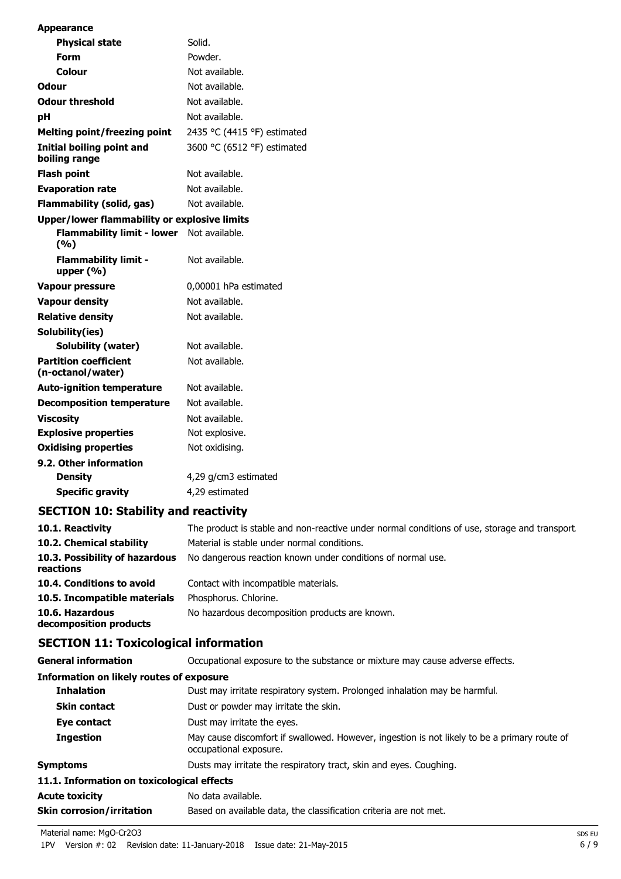| Appearance                                          |                             |
|-----------------------------------------------------|-----------------------------|
| <b>Physical state</b>                               | Solid.                      |
| Form                                                | Powder.                     |
| Colour                                              | Not available.              |
| Odour                                               | Not available.              |
| <b>Odour threshold</b>                              | Not available.              |
| рH                                                  | Not available.              |
| <b>Melting point/freezing point</b>                 | 2435 °C (4415 °F) estimated |
| <b>Initial boiling point and</b><br>boiling range   | 3600 °C (6512 °F) estimated |
| <b>Flash point</b>                                  | Not available.              |
| <b>Evaporation rate</b>                             | Not available.              |
| <b>Flammability (solid, gas)</b>                    | Not available.              |
| <b>Upper/lower flammability or explosive limits</b> |                             |
| <b>Flammability limit - lower</b><br>(%)            | Not available.              |
| <b>Flammability limit -</b><br>upper $(% )$         | Not available.              |
| <b>Vapour pressure</b>                              | 0,00001 hPa estimated       |
| <b>Vapour density</b>                               | Not available.              |
| <b>Relative density</b>                             | Not available.              |
| Solubility(ies)                                     |                             |
| Solubility (water)                                  | Not available.              |
| <b>Partition coefficient</b><br>(n-octanol/water)   | Not available.              |
| <b>Auto-ignition temperature</b>                    | Not available.              |
| <b>Decomposition temperature</b>                    | Not available.              |
| <b>Viscosity</b>                                    | Not available.              |
| <b>Explosive properties</b>                         | Not explosive.              |
| <b>Oxidising properties</b>                         | Not oxidising.              |
| 9.2. Other information                              |                             |
| <b>Density</b>                                      | 4,29 g/cm3 estimated        |
| <b>Specific gravity</b>                             | 4,29 estimated              |

**SECTION 10: Stability and reactivity**

| 10.1. Reactivity                            | The product is stable and non-reactive under normal conditions of use, storage and transport. |
|---------------------------------------------|-----------------------------------------------------------------------------------------------|
| 10.2. Chemical stability                    | Material is stable under normal conditions.                                                   |
| 10.3. Possibility of hazardous<br>reactions | No dangerous reaction known under conditions of normal use.                                   |
| 10.4. Conditions to avoid                   | Contact with incompatible materials.                                                          |
| 10.5. Incompatible materials                | Phosphorus. Chlorine.                                                                         |
| 10.6. Hazardous<br>decomposition products   | No hazardous decomposition products are known.                                                |
|                                             |                                                                                               |

# **SECTION 11: Toxicological information**

| <b>General information</b>                      | Occupational exposure to the substance or mixture may cause adverse effects.                                           |  |
|-------------------------------------------------|------------------------------------------------------------------------------------------------------------------------|--|
| <b>Information on likely routes of exposure</b> |                                                                                                                        |  |
| <b>Inhalation</b>                               | Dust may irritate respiratory system. Prolonged inhalation may be harmful.                                             |  |
| <b>Skin contact</b>                             | Dust or powder may irritate the skin.                                                                                  |  |
| Eye contact                                     | Dust may irritate the eyes.                                                                                            |  |
| <b>Ingestion</b>                                | May cause discomfort if swallowed. However, ingestion is not likely to be a primary route of<br>occupational exposure. |  |
| <b>Symptoms</b>                                 | Dusts may irritate the respiratory tract, skin and eyes. Coughing.                                                     |  |
| 11.1. Information on toxicological effects      |                                                                                                                        |  |
| <b>Acute toxicity</b>                           | No data available.                                                                                                     |  |
| <b>Skin corrosion/irritation</b>                | Based on available data, the classification criteria are not met.                                                      |  |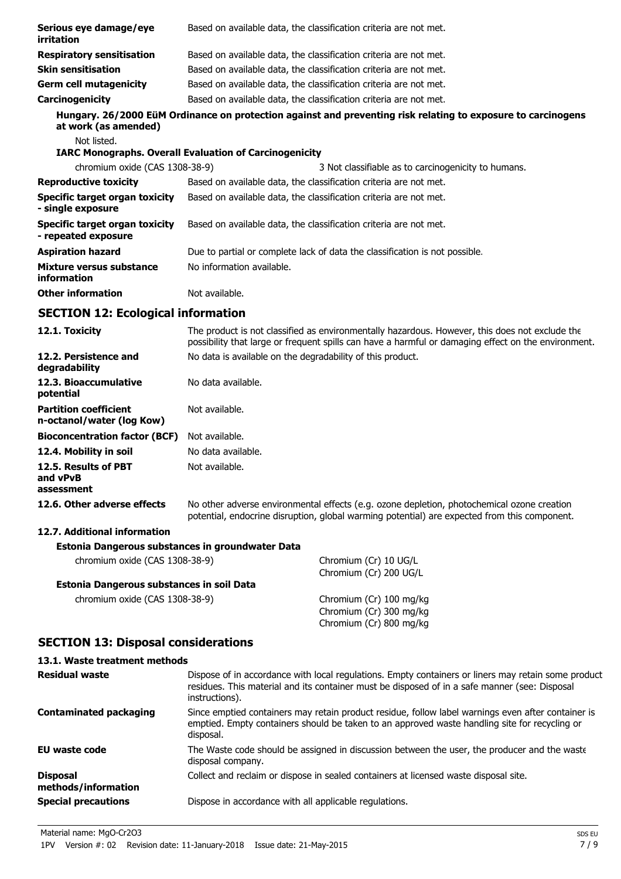| Serious eye damage/eye<br>irritation                       | Based on available data, the classification criteria are not met.                                                                                                                                   |  |
|------------------------------------------------------------|-----------------------------------------------------------------------------------------------------------------------------------------------------------------------------------------------------|--|
| <b>Respiratory sensitisation</b>                           | Based on available data, the classification criteria are not met.                                                                                                                                   |  |
| <b>Skin sensitisation</b>                                  | Based on available data, the classification criteria are not met.                                                                                                                                   |  |
| <b>Germ cell mutagenicity</b>                              | Based on available data, the classification criteria are not met.                                                                                                                                   |  |
| Carcinogenicity                                            | Based on available data, the classification criteria are not met.                                                                                                                                   |  |
| at work (as amended)                                       | Hungary. 26/2000 EüM Ordinance on protection against and preventing risk relating to exposure to carcinogens                                                                                        |  |
| Not listed.                                                | <b>IARC Monographs. Overall Evaluation of Carcinogenicity</b>                                                                                                                                       |  |
| chromium oxide (CAS 1308-38-9)                             | 3 Not classifiable as to carcinogenicity to humans.                                                                                                                                                 |  |
| <b>Reproductive toxicity</b>                               | Based on available data, the classification criteria are not met.                                                                                                                                   |  |
| <b>Specific target organ toxicity</b><br>- single exposure | Based on available data, the classification criteria are not met.                                                                                                                                   |  |
| Specific target organ toxicity<br>- repeated exposure      | Based on available data, the classification criteria are not met.                                                                                                                                   |  |
| <b>Aspiration hazard</b>                                   | Due to partial or complete lack of data the classification is not possible.                                                                                                                         |  |
| Mixture versus substance<br>information                    | No information available.                                                                                                                                                                           |  |
| <b>Other information</b>                                   | Not available.                                                                                                                                                                                      |  |
| <b>SECTION 12: Ecological information</b>                  |                                                                                                                                                                                                     |  |
| 12.1. Toxicity                                             | The product is not classified as environmentally hazardous. However, this does not exclude the<br>possibility that large or frequent spills can have a harmful or damaging effect on the environmen |  |

| <b>IL.L. IVAILILY</b>                                     |                                                            | The product is not classified as erroriginal indicated dous. However, this does not exclude the<br>possibility that large or frequent spills can have a harmful or damaging effect on the environment. |
|-----------------------------------------------------------|------------------------------------------------------------|--------------------------------------------------------------------------------------------------------------------------------------------------------------------------------------------------------|
| 12.2. Persistence and<br>degradability                    | No data is available on the degradability of this product. |                                                                                                                                                                                                        |
| 12.3. Bioaccumulative<br>potential                        | No data available.                                         |                                                                                                                                                                                                        |
| <b>Partition coefficient</b><br>n-octanol/water (log Kow) | Not available.                                             |                                                                                                                                                                                                        |
| <b>Bioconcentration factor (BCF)</b>                      | Not available.                                             |                                                                                                                                                                                                        |
| 12.4. Mobility in soil                                    | No data available.                                         |                                                                                                                                                                                                        |
| 12.5. Results of PBT<br>and vPvB<br>assessment            | Not available.                                             |                                                                                                                                                                                                        |
| 12.6. Other adverse effects                               |                                                            | No other adverse environmental effects (e.g. ozone depletion, photochemical ozone creation<br>potential, endocrine disruption, global warming potential) are expected from this component.             |
| 12.7. Additional information                              |                                                            |                                                                                                                                                                                                        |
| Estonia Dangerous substances in groundwater Data          |                                                            |                                                                                                                                                                                                        |
| chromium oxide (CAS 1308-38-9)                            |                                                            | Chromium (Cr) 10 UG/L<br>Chromium (Cr) 200 UG/L                                                                                                                                                        |
| Estonia Dangerous substances in soil Data                 |                                                            |                                                                                                                                                                                                        |
| chromium oxide (CAS 1308-38-9)                            |                                                            | Chromium (Cr) 100 mg/kg<br>Chromium (Cr) 300 mg/kg<br>Chromium (Cr) 800 mg/kg                                                                                                                          |
| <b>SECTION 13: Disposal considerations</b>                |                                                            |                                                                                                                                                                                                        |

# **13.1. Waste treatment methods**

| <b>Residual waste</b>                  | Dispose of in accordance with local regulations. Empty containers or liners may retain some product<br>residues. This material and its container must be disposed of in a safe manner (see: Disposal<br>instructions). |
|----------------------------------------|------------------------------------------------------------------------------------------------------------------------------------------------------------------------------------------------------------------------|
| <b>Contaminated packaging</b>          | Since emptied containers may retain product residue, follow label warnings even after container is<br>emptied. Empty containers should be taken to an approved waste handling site for recycling or<br>disposal.       |
| EU waste code                          | The Waste code should be assigned in discussion between the user, the producer and the waste<br>disposal company.                                                                                                      |
| <b>Disposal</b><br>methods/information | Collect and reclaim or dispose in sealed containers at licensed waste disposal site.                                                                                                                                   |
| <b>Special precautions</b>             | Dispose in accordance with all applicable regulations.                                                                                                                                                                 |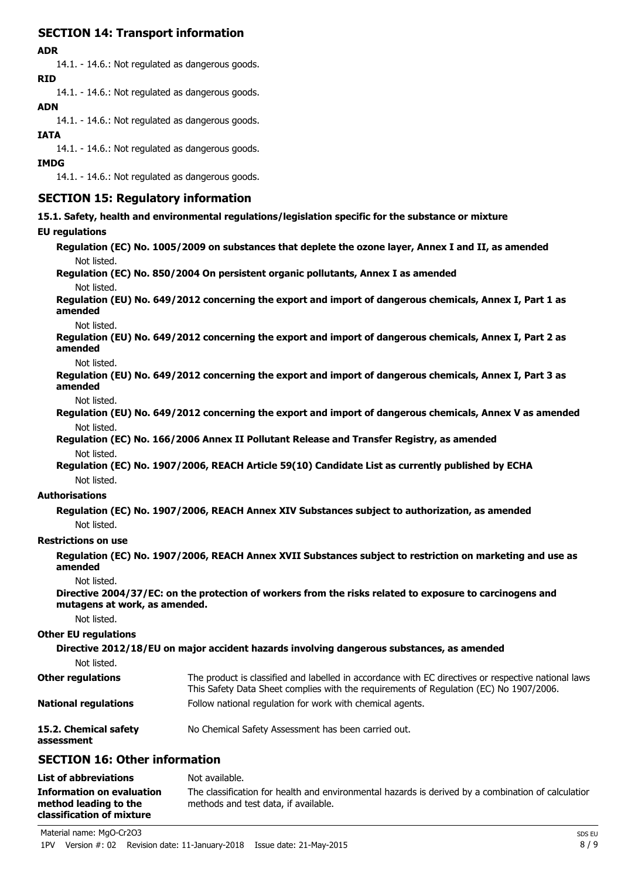# **SECTION 14: Transport information**

### **ADR**

14.1. - 14.6.: Not regulated as dangerous goods. **RID**

14.1. - 14.6.: Not regulated as dangerous goods.

### **ADN**

14.1. - 14.6.: Not regulated as dangerous goods.

### **IATA**

14.1. - 14.6.: Not regulated as dangerous goods.

### **IMDG**

14.1. - 14.6.: Not regulated as dangerous goods.

### **SECTION 15: Regulatory information**

**15.1. Safety, health and environmental regulations/legislation specific for the substance or mixture**

### **EU regulations**

**Regulation (EC) No. 1005/2009 on substances that deplete the ozone layer, Annex I and II, as amended** Not listed.

### **Regulation (EC) No. 850/2004 On persistent organic pollutants, Annex I as amended**

Not listed.

**Regulation (EU) No. 649/2012 concerning the export and import of dangerous chemicals, Annex I, Part 1 as amended**

Not listed.

**Regulation (EU) No. 649/2012 concerning the export and import of dangerous chemicals, Annex I, Part 2 as amended**

Not listed.

**Regulation (EU) No. 649/2012 concerning the export and import of dangerous chemicals, Annex I, Part 3 as amended**

Not listed.

**Regulation (EU) No. 649/2012 concerning the export and import of dangerous chemicals, Annex V as amended** Not listed.

**Regulation (EC) No. 166/2006 Annex II Pollutant Release and Transfer Registry, as amended** Not listed.

**Regulation (EC) No. 1907/2006, REACH Article 59(10) Candidate List as currently published by ECHA** Not listed.

### **Authorisations**

**Regulation (EC) No. 1907/2006, REACH Annex XIV Substances subject to authorization, as amended** Not listed.

### **Restrictions on use**

**Regulation (EC) No. 1907/2006, REACH Annex XVII Substances subject to restriction on marketing and use as amended**

Not listed.

**Directive 2004/37/EC: on the protection of workers from the risks related to exposure to carcinogens and mutagens at work, as amended.**

Not listed.

### **Other EU regulations**

**Directive 2012/18/EU on major accident hazards involving dangerous substances, as amended** Not listed. The product is classified and labelled in accordance with EC directives or respective national laws. This Safety Data Sheet complies with the requirements of Regulation (EC) No 1907/2006. **Other regulations National regulations** Follow national regulation for work with chemical agents.

**15.2. Chemical safety** No Chemical Safety Assessment has been carried out. **assessment**

## **SECTION 16: Other information**

| <b>List of abbreviations</b>                                                    | Not available.                                                                                                                             |
|---------------------------------------------------------------------------------|--------------------------------------------------------------------------------------------------------------------------------------------|
| Information on evaluation<br>method leading to the<br>classification of mixture | The classification for health and environmental hazards is derived by a combination of calculatior<br>methods and test data, if available. |